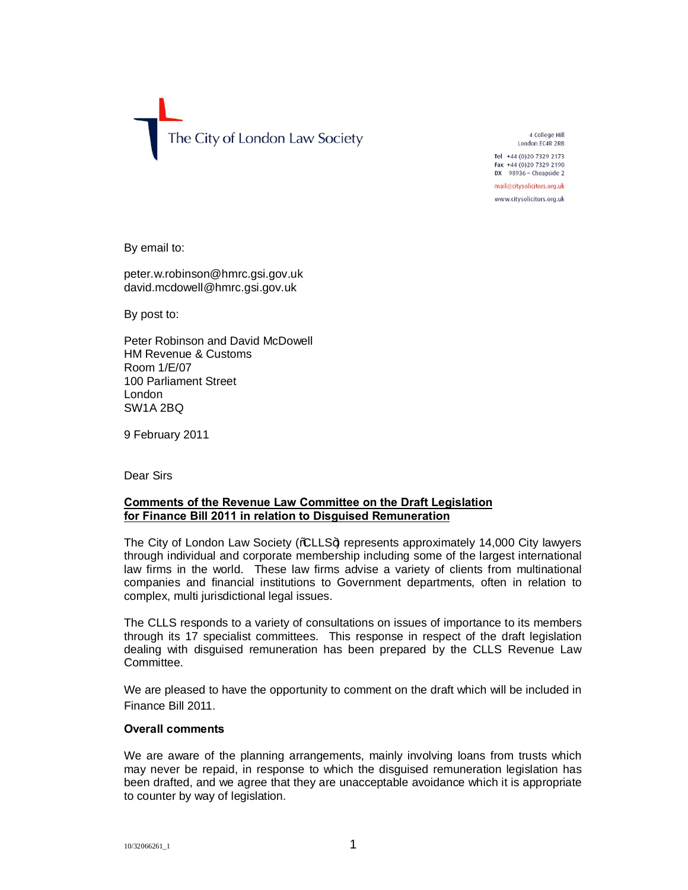The City of London Law Society

4 College Hill London EC4R 2RB Tel +44 (0) 20 7329 2173 Fax +44 (0)20 7329 2190 DX 98936 - Cheapside 2

mail@citysolicitors.org.uk www.citysolicitors.org.uk

By email to:

peter.w.robinson@hmrc.gsi.gov.uk david.mcdowell@hmrc.gsi.gov.uk

By post to:

Peter Robinson and David McDowell HM Revenue & Customs Room 1/E/07 100 Parliament Street London SW1A 2BQ

9 February 2011

Dear Sirs

### **Comments of the Revenue Law Committee on the Draft Legislation for Finance Bill 2011 in relation to Disguised Remuneration**

The City of London Law Society (% LLS+) represents approximately 14,000 City lawyers through individual and corporate membership including some of the largest international law firms in the world. These law firms advise a variety of clients from multinational companies and financial institutions to Government departments, often in relation to complex, multi jurisdictional legal issues.

The CLLS responds to a variety of consultations on issues of importance to its members through its 17 specialist committees. This response in respect of the draft legislation dealing with disguised remuneration has been prepared by the CLLS Revenue Law Committee.

We are pleased to have the opportunity to comment on the draft which will be included in Finance Bill 2011.

#### **Overall comments**

We are aware of the planning arrangements, mainly involving loans from trusts which may never be repaid, in response to which the disguised remuneration legislation has been drafted, and we agree that they are unacceptable avoidance which it is appropriate to counter by way of legislation.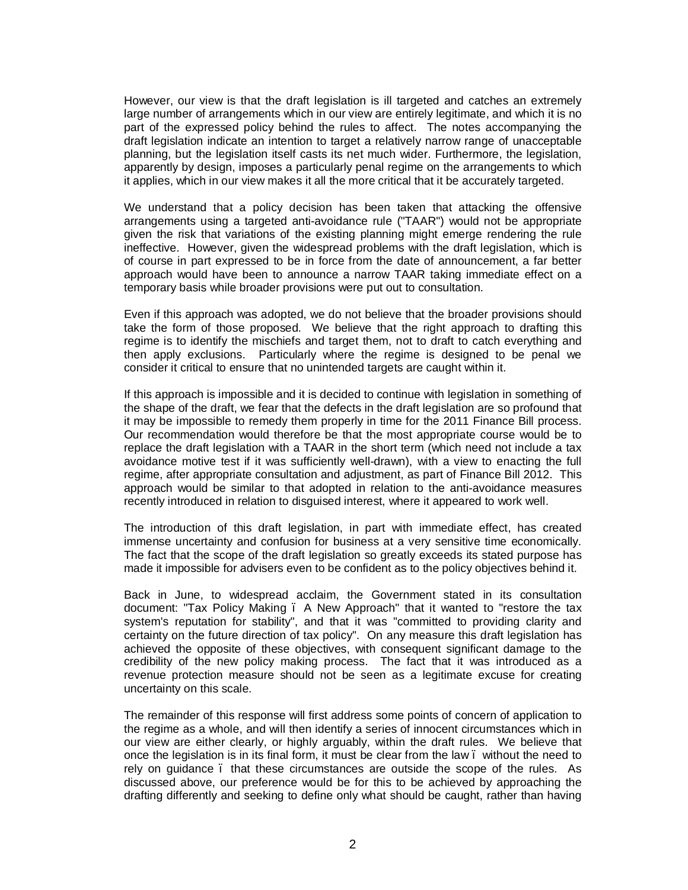However, our view is that the draft legislation is ill targeted and catches an extremely large number of arrangements which in our view are entirely legitimate, and which it is no part of the expressed policy behind the rules to affect. The notes accompanying the draft legislation indicate an intention to target a relatively narrow range of unacceptable planning, but the legislation itself casts its net much wider. Furthermore, the legislation, apparently by design, imposes a particularly penal regime on the arrangements to which it applies, which in our view makes it all the more critical that it be accurately targeted.

We understand that a policy decision has been taken that attacking the offensive arrangements using a targeted anti-avoidance rule ("TAAR") would not be appropriate given the risk that variations of the existing planning might emerge rendering the rule ineffective. However, given the widespread problems with the draft legislation, which is of course in part expressed to be in force from the date of announcement, a far better approach would have been to announce a narrow TAAR taking immediate effect on a temporary basis while broader provisions were put out to consultation.

Even if this approach was adopted, we do not believe that the broader provisions should take the form of those proposed. We believe that the right approach to drafting this regime is to identify the mischiefs and target them, not to draft to catch everything and then apply exclusions. Particularly where the regime is designed to be penal we consider it critical to ensure that no unintended targets are caught within it.

If this approach is impossible and it is decided to continue with legislation in something of the shape of the draft, we fear that the defects in the draft legislation are so profound that it may be impossible to remedy them properly in time for the 2011 Finance Bill process. Our recommendation would therefore be that the most appropriate course would be to replace the draft legislation with a TAAR in the short term (which need not include a tax avoidance motive test if it was sufficiently well-drawn), with a view to enacting the full regime, after appropriate consultation and adjustment, as part of Finance Bill 2012. This approach would be similar to that adopted in relation to the anti-avoidance measures recently introduced in relation to disguised interest, where it appeared to work well.

The introduction of this draft legislation, in part with immediate effect, has created immense uncertainty and confusion for business at a very sensitive time economically. The fact that the scope of the draft legislation so greatly exceeds its stated purpose has made it impossible for advisers even to be confident as to the policy objectives behind it.

Back in June, to widespread acclaim, the Government stated in its consultation document: "Tax Policy Making – A New Approach" that it wanted to "restore the tax system's reputation for stability", and that it was "committed to providing clarity and certainty on the future direction of tax policy". On any measure this draft legislation has achieved the opposite of these objectives, with consequent significant damage to the credibility of the new policy making process. The fact that it was introduced as a revenue protection measure should not be seen as a legitimate excuse for creating uncertainty on this scale.

The remainder of this response will first address some points of concern of application to the regime as a whole, and will then identify a series of innocent circumstances which in our view are either clearly, or highly arguably, within the draft rules. We believe that once the legislation is in its final form, it must be clear from the law – without the need to rely on guidance – that these circumstances are outside the scope of the rules. As discussed above, our preference would be for this to be achieved by approaching the drafting differently and seeking to define only what should be caught, rather than having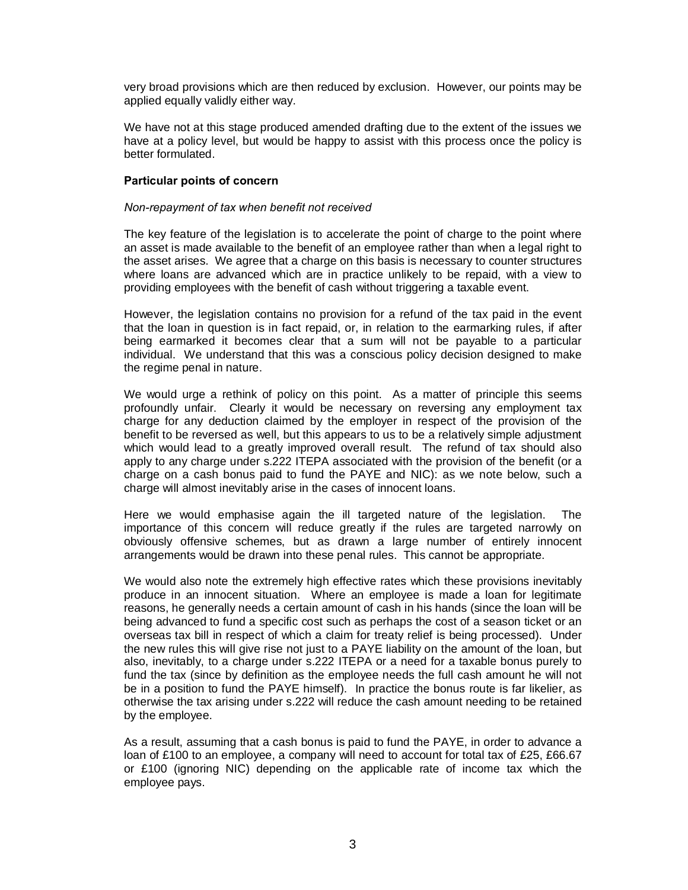very broad provisions which are then reduced by exclusion. However, our points may be applied equally validly either way.

We have not at this stage produced amended drafting due to the extent of the issues we have at a policy level, but would be happy to assist with this process once the policy is better formulated.

# **Particular points of concern**

# *Non-repayment of tax when benefit not received*

The key feature of the legislation is to accelerate the point of charge to the point where an asset is made available to the benefit of an employee rather than when a legal right to the asset arises. We agree that a charge on this basis is necessary to counter structures where loans are advanced which are in practice unlikely to be repaid, with a view to providing employees with the benefit of cash without triggering a taxable event.

However, the legislation contains no provision for a refund of the tax paid in the event that the loan in question is in fact repaid, or, in relation to the earmarking rules, if after being earmarked it becomes clear that a sum will not be payable to a particular individual. We understand that this was a conscious policy decision designed to make the regime penal in nature.

We would urge a rethink of policy on this point. As a matter of principle this seems profoundly unfair. Clearly it would be necessary on reversing any employment tax charge for any deduction claimed by the employer in respect of the provision of the benefit to be reversed as well, but this appears to us to be a relatively simple adjustment which would lead to a greatly improved overall result. The refund of tax should also apply to any charge under s.222 ITEPA associated with the provision of the benefit (or a charge on a cash bonus paid to fund the PAYE and NIC): as we note below, such a charge will almost inevitably arise in the cases of innocent loans.

Here we would emphasise again the ill targeted nature of the legislation. The importance of this concern will reduce greatly if the rules are targeted narrowly on obviously offensive schemes, but as drawn a large number of entirely innocent arrangements would be drawn into these penal rules. This cannot be appropriate.

We would also note the extremely high effective rates which these provisions inevitably produce in an innocent situation. Where an employee is made a loan for legitimate reasons, he generally needs a certain amount of cash in his hands (since the loan will be being advanced to fund a specific cost such as perhaps the cost of a season ticket or an overseas tax bill in respect of which a claim for treaty relief is being processed). Under the new rules this will give rise not just to a PAYE liability on the amount of the loan, but also, inevitably, to a charge under s.222 ITEPA or a need for a taxable bonus purely to fund the tax (since by definition as the employee needs the full cash amount he will not be in a position to fund the PAYE himself). In practice the bonus route is far likelier, as otherwise the tax arising under s.222 will reduce the cash amount needing to be retained by the employee.

As a result, assuming that a cash bonus is paid to fund the PAYE, in order to advance a loan of £100 to an employee, a company will need to account for total tax of £25, £66.67 or £100 (ignoring NIC) depending on the applicable rate of income tax which the employee pays.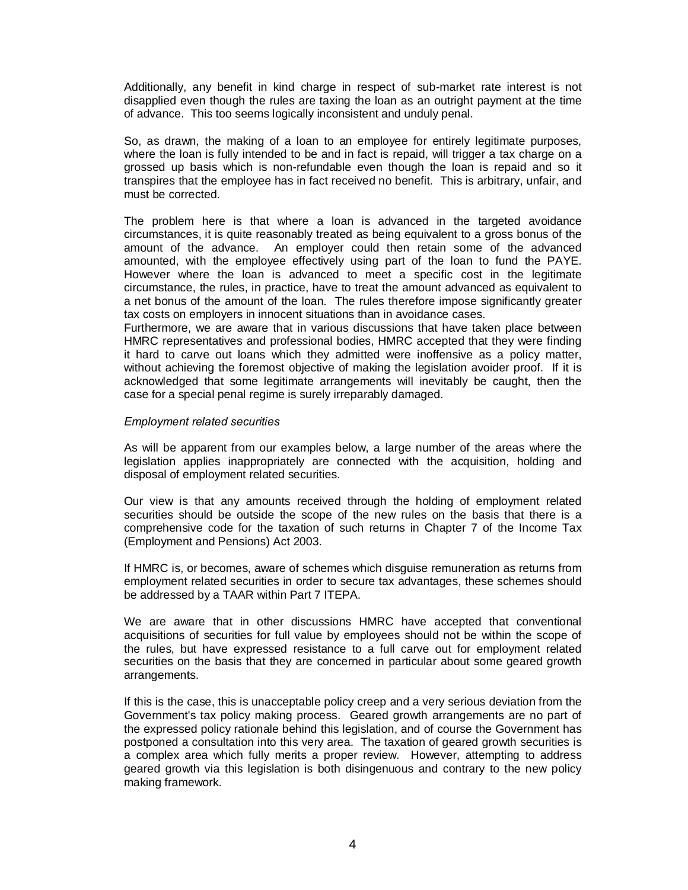Additionally, any benefit in kind charge in respect of sub-market rate interest is not disapplied even though the rules are taxing the loan as an outright payment at the time of advance. This too seems logically inconsistent and unduly penal.

So, as drawn, the making of a loan to an employee for entirely legitimate purposes, where the loan is fully intended to be and in fact is repaid, will trigger a tax charge on a grossed up basis which is non-refundable even though the loan is repaid and so it transpires that the employee has in fact received no benefit. This is arbitrary, unfair, and must be corrected.

The problem here is that where a loan is advanced in the targeted avoidance circumstances, it is quite reasonably treated as being equivalent to a gross bonus of the amount of the advance. An employer could then retain some of the advanced amounted, with the employee effectively using part of the loan to fund the PAYE. However where the loan is advanced to meet a specific cost in the legitimate circumstance, the rules, in practice, have to treat the amount advanced as equivalent to a net bonus of the amount of the loan. The rules therefore impose significantly greater tax costs on employers in innocent situations than in avoidance cases.

Furthermore, we are aware that in various discussions that have taken place between HMRC representatives and professional bodies, HMRC accepted that they were finding it hard to carve out loans which they admitted were inoffensive as a policy matter, without achieving the foremost objective of making the legislation avoider proof. If it is acknowledged that some legitimate arrangements will inevitably be caught, then the case for a special penal regime is surely irreparably damaged.

#### *Employment related securities*

As will be apparent from our examples below, a large number of the areas where the legislation applies inappropriately are connected with the acquisition, holding and disposal of employment related securities.

Our view is that any amounts received through the holding of employment related securities should be outside the scope of the new rules on the basis that there is a comprehensive code for the taxation of such returns in Chapter 7 of the Income Tax (Employment and Pensions) Act 2003.

If HMRC is, or becomes, aware of schemes which disguise remuneration as returns from employment related securities in order to secure tax advantages, these schemes should be addressed by a TAAR within Part 7 ITEPA.

We are aware that in other discussions HMRC have accepted that conventional acquisitions of securities for full value by employees should not be within the scope of the rules, but have expressed resistance to a full carve out for employment related securities on the basis that they are concerned in particular about some geared growth arrangements.

If this is the case, this is unacceptable policy creep and a very serious deviation from the Government's tax policy making process. Geared growth arrangements are no part of the expressed policy rationale behind this legislation, and of course the Government has postponed a consultation into this very area. The taxation of geared growth securities is a complex area which fully merits a proper review. However, attempting to address geared growth via this legislation is both disingenuous and contrary to the new policy making framework.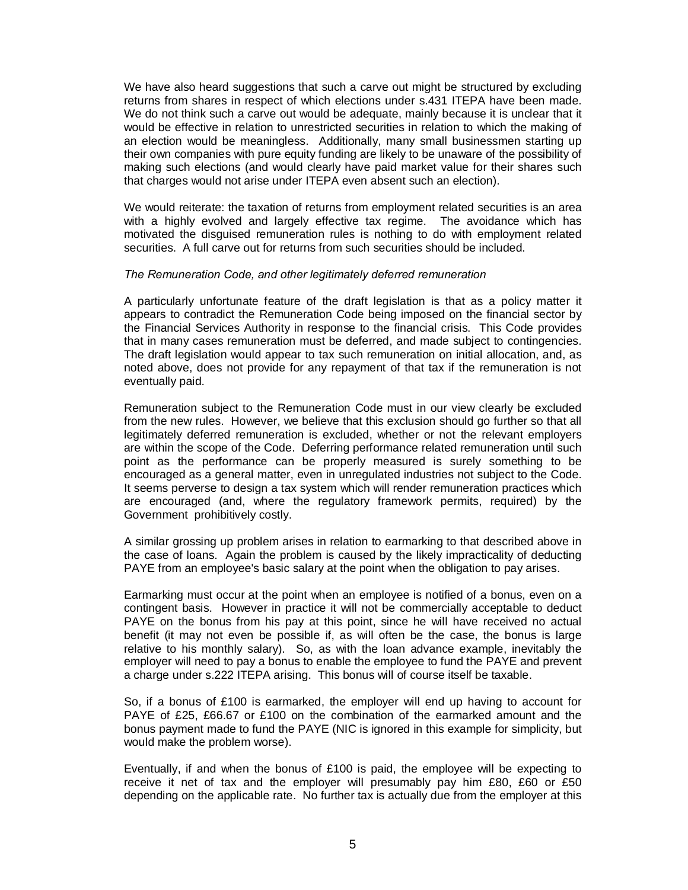We have also heard suggestions that such a carve out might be structured by excluding returns from shares in respect of which elections under s.431 ITEPA have been made. We do not think such a carve out would be adequate, mainly because it is unclear that it would be effective in relation to unrestricted securities in relation to which the making of an election would be meaningless. Additionally, many small businessmen starting up their own companies with pure equity funding are likely to be unaware of the possibility of making such elections (and would clearly have paid market value for their shares such that charges would not arise under ITEPA even absent such an election).

We would reiterate: the taxation of returns from employment related securities is an area with a highly evolved and largely effective tax regime. The avoidance which has motivated the disguised remuneration rules is nothing to do with employment related securities. A full carve out for returns from such securities should be included.

#### *The Remuneration Code, and other legitimately deferred remuneration*

A particularly unfortunate feature of the draft legislation is that as a policy matter it appears to contradict the Remuneration Code being imposed on the financial sector by the Financial Services Authority in response to the financial crisis. This Code provides that in many cases remuneration must be deferred, and made subject to contingencies. The draft legislation would appear to tax such remuneration on initial allocation, and, as noted above, does not provide for any repayment of that tax if the remuneration is not eventually paid.

Remuneration subject to the Remuneration Code must in our view clearly be excluded from the new rules. However, we believe that this exclusion should go further so that all legitimately deferred remuneration is excluded, whether or not the relevant employers are within the scope of the Code. Deferring performance related remuneration until such point as the performance can be properly measured is surely something to be encouraged as a general matter, even in unregulated industries not subject to the Code. It seems perverse to design a tax system which will render remuneration practices which are encouraged (and, where the regulatory framework permits, required) by the Government prohibitively costly.

A similar grossing up problem arises in relation to earmarking to that described above in the case of loans. Again the problem is caused by the likely impracticality of deducting PAYE from an employee's basic salary at the point when the obligation to pay arises.

Earmarking must occur at the point when an employee is notified of a bonus, even on a contingent basis. However in practice it will not be commercially acceptable to deduct PAYE on the bonus from his pay at this point, since he will have received no actual benefit (it may not even be possible if, as will often be the case, the bonus is large relative to his monthly salary). So, as with the loan advance example, inevitably the employer will need to pay a bonus to enable the employee to fund the PAYE and prevent a charge under s.222 ITEPA arising. This bonus will of course itself be taxable.

So, if a bonus of £100 is earmarked, the employer will end up having to account for PAYE of £25, £66.67 or £100 on the combination of the earmarked amount and the bonus payment made to fund the PAYE (NIC is ignored in this example for simplicity, but would make the problem worse).

Eventually, if and when the bonus of £100 is paid, the employee will be expecting to receive it net of tax and the employer will presumably pay him £80, £60 or £50 depending on the applicable rate. No further tax is actually due from the employer at this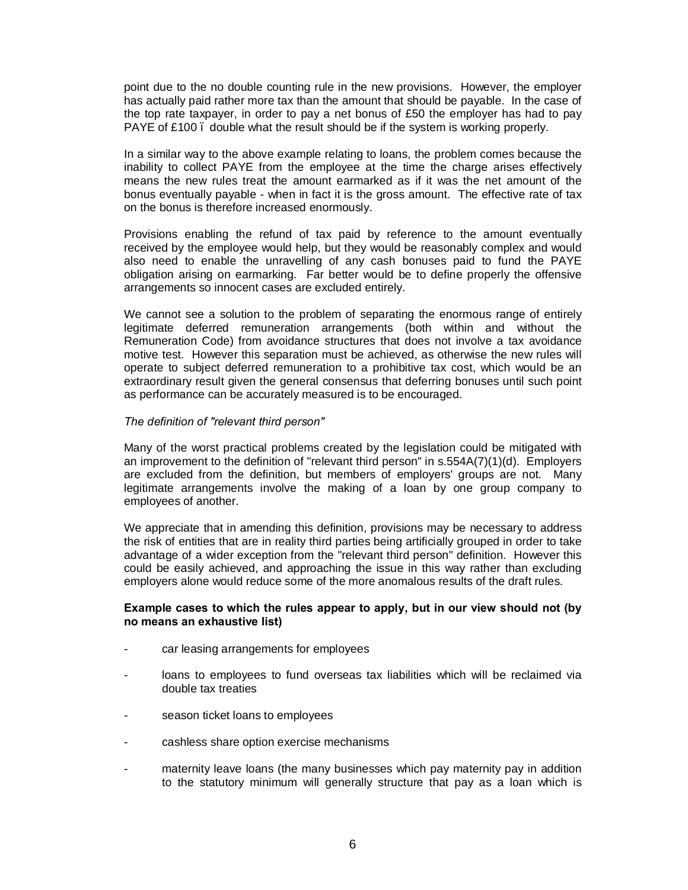point due to the no double counting rule in the new provisions. However, the employer has actually paid rather more tax than the amount that should be payable. In the case of the top rate taxpayer, in order to pay a net bonus of £50 the employer has had to pay PAYE of £100, double what the result should be if the system is working properly.

In a similar way to the above example relating to loans, the problem comes because the inability to collect PAYE from the employee at the time the charge arises effectively means the new rules treat the amount earmarked as if it was the net amount of the bonus eventually payable - when in fact it is the gross amount. The effective rate of tax on the bonus is therefore increased enormously.

Provisions enabling the refund of tax paid by reference to the amount eventually received by the employee would help, but they would be reasonably complex and would also need to enable the unravelling of any cash bonuses paid to fund the PAYE obligation arising on earmarking. Far better would be to define properly the offensive arrangements so innocent cases are excluded entirely.

We cannot see a solution to the problem of separating the enormous range of entirely legitimate deferred remuneration arrangements (both within and without the Remuneration Code) from avoidance structures that does not involve a tax avoidance motive test. However this separation must be achieved, as otherwise the new rules will operate to subject deferred remuneration to a prohibitive tax cost, which would be an extraordinary result given the general consensus that deferring bonuses until such point as performance can be accurately measured is to be encouraged.

#### *The definition of "relevant third person"*

Many of the worst practical problems created by the legislation could be mitigated with an improvement to the definition of "relevant third person" in s.554A(7)(1)(d). Employers are excluded from the definition, but members of employers' groups are not. Many legitimate arrangements involve the making of a loan by one group company to employees of another.

We appreciate that in amending this definition, provisions may be necessary to address the risk of entities that are in reality third parties being artificially grouped in order to take advantage of a wider exception from the "relevant third person" definition. However this could be easily achieved, and approaching the issue in this way rather than excluding employers alone would reduce some of the more anomalous results of the draft rules.

#### **Example cases to which the rules appear to apply, but in our view should not (by no means an exhaustive list)**

- car leasing arrangements for employees
- loans to employees to fund overseas tax liabilities which will be reclaimed via double tax treaties
- season ticket loans to employees
- cashless share option exercise mechanisms
- maternity leave loans (the many businesses which pay maternity pay in addition to the statutory minimum will generally structure that pay as a loan which is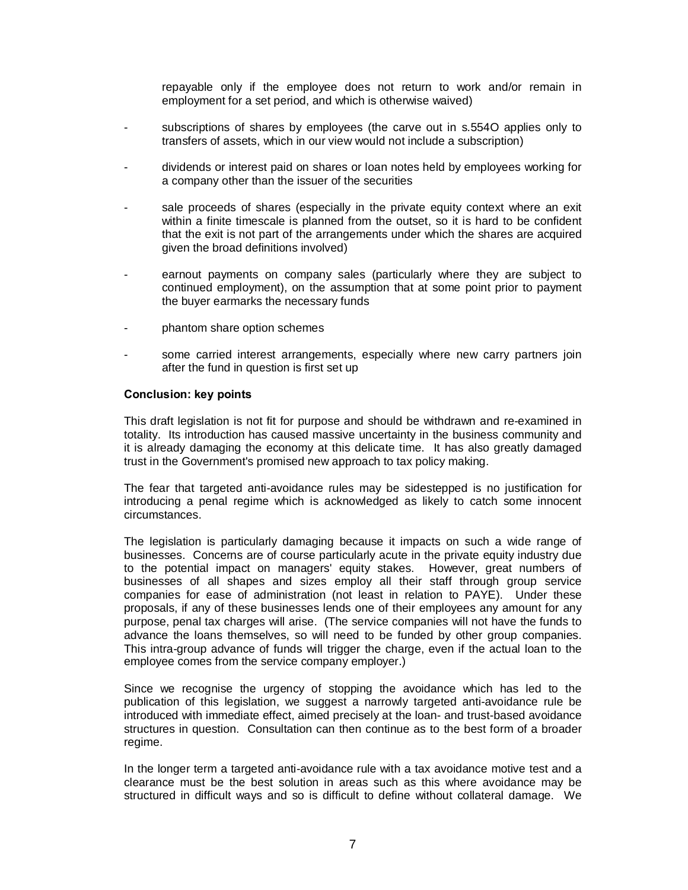repayable only if the employee does not return to work and/or remain in employment for a set period, and which is otherwise waived)

- subscriptions of shares by employees (the carve out in s.554O applies only to transfers of assets, which in our view would not include a subscription)
- dividends or interest paid on shares or loan notes held by employees working for a company other than the issuer of the securities
- sale proceeds of shares (especially in the private equity context where an exit within a finite timescale is planned from the outset, so it is hard to be confident that the exit is not part of the arrangements under which the shares are acquired given the broad definitions involved)
- earnout payments on company sales (particularly where they are subject to continued employment), on the assumption that at some point prior to payment the buyer earmarks the necessary funds
- phantom share option schemes
- some carried interest arrangements, especially where new carry partners join after the fund in question is first set up

#### **Conclusion: key points**

This draft legislation is not fit for purpose and should be withdrawn and re-examined in totality. Its introduction has caused massive uncertainty in the business community and it is already damaging the economy at this delicate time. It has also greatly damaged trust in the Government's promised new approach to tax policy making.

The fear that targeted anti-avoidance rules may be sidestepped is no justification for introducing a penal regime which is acknowledged as likely to catch some innocent circumstances.

The legislation is particularly damaging because it impacts on such a wide range of businesses. Concerns are of course particularly acute in the private equity industry due to the potential impact on managers' equity stakes. However, great numbers of businesses of all shapes and sizes employ all their staff through group service companies for ease of administration (not least in relation to PAYE). Under these proposals, if any of these businesses lends one of their employees any amount for any purpose, penal tax charges will arise. (The service companies will not have the funds to advance the loans themselves, so will need to be funded by other group companies. This intra-group advance of funds will trigger the charge, even if the actual loan to the employee comes from the service company employer.)

Since we recognise the urgency of stopping the avoidance which has led to the publication of this legislation, we suggest a narrowly targeted anti-avoidance rule be introduced with immediate effect, aimed precisely at the loan- and trust-based avoidance structures in question. Consultation can then continue as to the best form of a broader regime.

In the longer term a targeted anti-avoidance rule with a tax avoidance motive test and a clearance must be the best solution in areas such as this where avoidance may be structured in difficult ways and so is difficult to define without collateral damage. We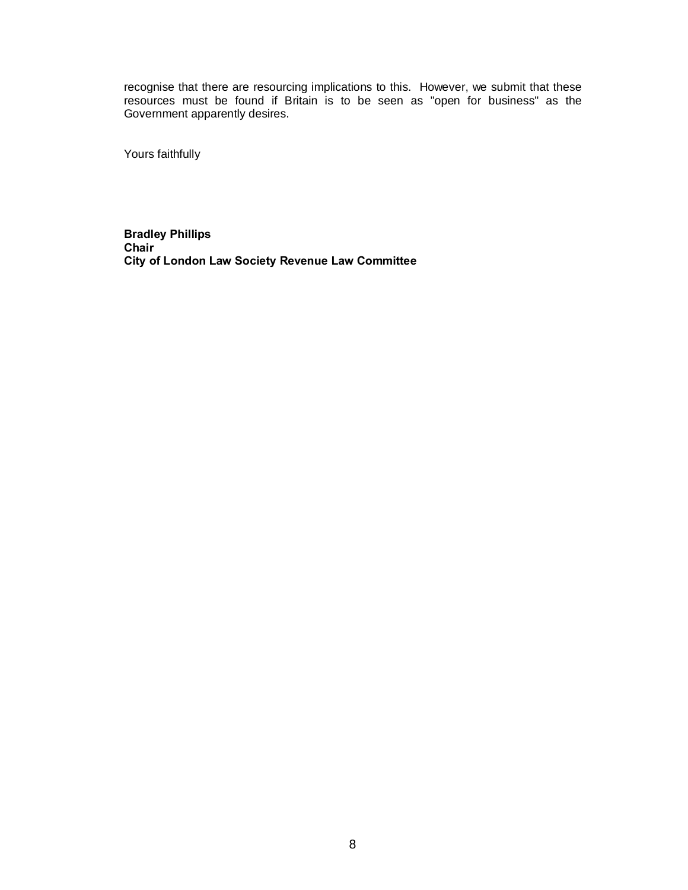recognise that there are resourcing implications to this. However, we submit that these resources must be found if Britain is to be seen as "open for business" as the Government apparently desires.

Yours faithfully

**Bradley Phillips Chair City of London Law Society Revenue Law Committee**